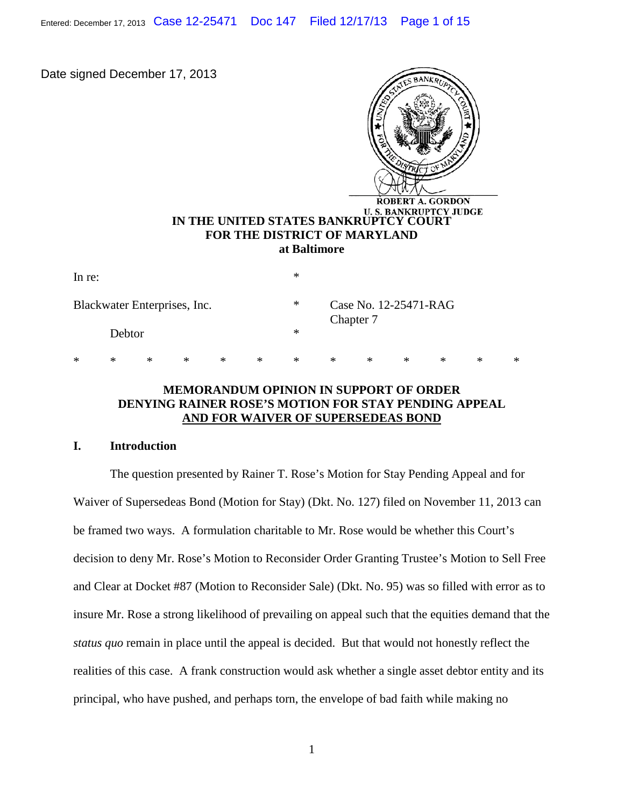Entered: December 17, 2013 Case 12-25471 Doc 147 Filed 12/17/13 Page 1 of 15

Date signed December 17, 2013



| In re:                       |   |        |     |        |        | ∗      |        |                                    |        |        |   |        |  |
|------------------------------|---|--------|-----|--------|--------|--------|--------|------------------------------------|--------|--------|---|--------|--|
| Blackwater Enterprises, Inc. |   |        |     |        |        | $\ast$ |        | Case No. 12-25471-RAG<br>Chapter 7 |        |        |   |        |  |
| Debtor                       |   |        |     |        |        | $\ast$ |        |                                    |        |        |   |        |  |
| $\ast$                       | ∗ | $\ast$ | $*$ | $\ast$ | $\ast$ | ∗      | $\ast$ | $\ast$                             | $\ast$ | $\ast$ | ∗ | $\ast$ |  |

## **MEMORANDUM OPINION IN SUPPORT OF ORDER DENYING RAINER ROSE'S MOTION FOR STAY PENDING APPEAL AND FOR WAIVER OF SUPERSEDEAS BOND**

## **I. Introduction**

The question presented by Rainer T. Rose's Motion for Stay Pending Appeal and for Waiver of Supersedeas Bond (Motion for Stay) (Dkt. No. 127) filed on November 11, 2013 can be framed two ways. A formulation charitable to Mr. Rose would be whether this Court's decision to deny Mr. Rose's Motion to Reconsider Order Granting Trustee's Motion to Sell Free and Clear at Docket #87 (Motion to Reconsider Sale) (Dkt. No. 95) was so filled with error as to insure Mr. Rose a strong likelihood of prevailing on appeal such that the equities demand that the *status quo* remain in place until the appeal is decided. But that would not honestly reflect the realities of this case. A frank construction would ask whether a single asset debtor entity and its principal, who have pushed, and perhaps torn, the envelope of bad faith while making no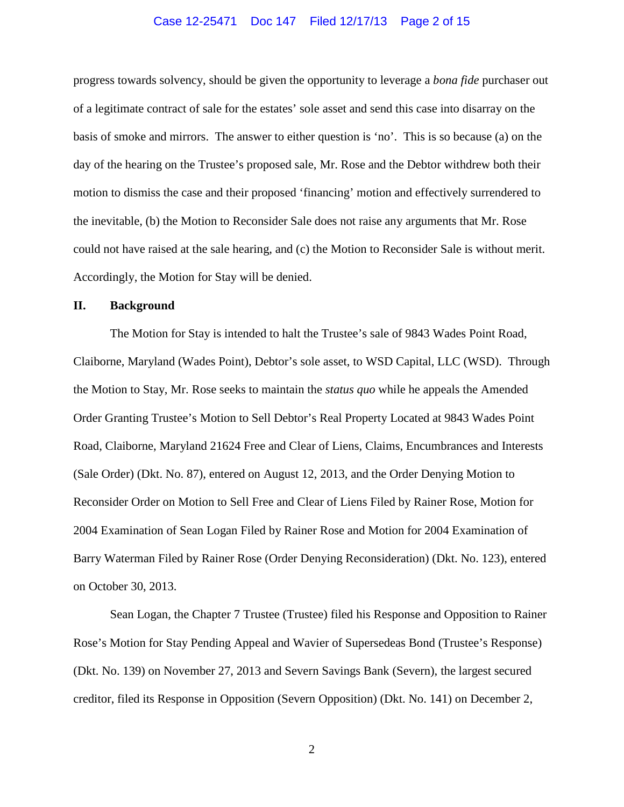#### Case 12-25471 Doc 147 Filed 12/17/13 Page 2 of 15

progress towards solvency, should be given the opportunity to leverage a *bona fide* purchaser out of a legitimate contract of sale for the estates' sole asset and send this case into disarray on the basis of smoke and mirrors. The answer to either question is 'no'. This is so because (a) on the day of the hearing on the Trustee's proposed sale, Mr. Rose and the Debtor withdrew both their motion to dismiss the case and their proposed 'financing' motion and effectively surrendered to the inevitable, (b) the Motion to Reconsider Sale does not raise any arguments that Mr. Rose could not have raised at the sale hearing, and (c) the Motion to Reconsider Sale is without merit. Accordingly, the Motion for Stay will be denied.

## **II. Background**

The Motion for Stay is intended to halt the Trustee's sale of 9843 Wades Point Road, Claiborne, Maryland (Wades Point), Debtor's sole asset, to WSD Capital, LLC (WSD). Through the Motion to Stay, Mr. Rose seeks to maintain the *status quo* while he appeals the Amended Order Granting Trustee's Motion to Sell Debtor's Real Property Located at 9843 Wades Point Road, Claiborne, Maryland 21624 Free and Clear of Liens, Claims, Encumbrances and Interests (Sale Order) (Dkt. No. 87), entered on August 12, 2013, and the Order Denying Motion to Reconsider Order on Motion to Sell Free and Clear of Liens Filed by Rainer Rose, Motion for 2004 Examination of Sean Logan Filed by Rainer Rose and Motion for 2004 Examination of Barry Waterman Filed by Rainer Rose (Order Denying Reconsideration) (Dkt. No. 123), entered on October 30, 2013.

Sean Logan, the Chapter 7 Trustee (Trustee) filed his Response and Opposition to Rainer Rose's Motion for Stay Pending Appeal and Wavier of Supersedeas Bond (Trustee's Response) (Dkt. No. 139) on November 27, 2013 and Severn Savings Bank (Severn), the largest secured creditor, filed its Response in Opposition (Severn Opposition) (Dkt. No. 141) on December 2,

2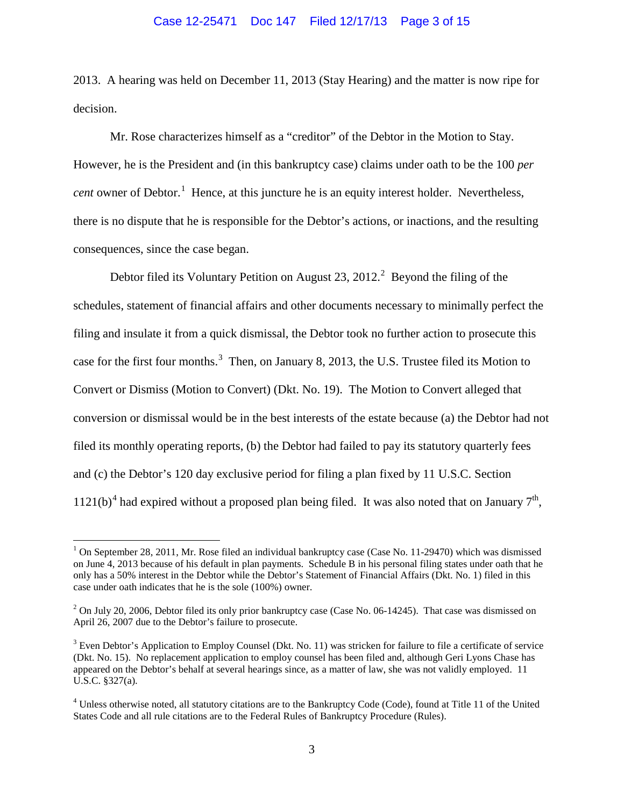## Case 12-25471 Doc 147 Filed 12/17/13 Page 3 of 15

2013. A hearing was held on December 11, 2013 (Stay Hearing) and the matter is now ripe for decision.

Mr. Rose characterizes himself as a "creditor" of the Debtor in the Motion to Stay. However, he is the President and (in this bankruptcy case) claims under oath to be the 100 *per cent* owner of Debtor.<sup>[1](#page-9-0)</sup> Hence, at this juncture he is an equity interest holder. Nevertheless, there is no dispute that he is responsible for the Debtor's actions, or inactions, and the resulting consequences, since the case began.

Debtor filed its Voluntary Petition on August [2](#page-2-0)3,  $2012.<sup>2</sup>$  Beyond the filing of the schedules, statement of financial affairs and other documents necessary to minimally perfect the filing and insulate it from a quick dismissal, the Debtor took no further action to prosecute this case for the first four months.<sup>[3](#page-2-1)</sup> Then, on January 8, 2013, the U.S. Trustee filed its Motion to Convert or Dismiss (Motion to Convert) (Dkt. No. 19). The Motion to Convert alleged that conversion or dismissal would be in the best interests of the estate because (a) the Debtor had not filed its monthly operating reports, (b) the Debtor had failed to pay its statutory quarterly fees and (c) the Debtor's 120 day exclusive period for filing a plan fixed by 11 U.S.C. Section 1121(b)<sup>[4](#page-2-2)</sup> had expired without a proposed plan being filed. It was also noted that on January  $7<sup>th</sup>$ ,

<sup>&</sup>lt;sup>1</sup> On September 28, 2011, Mr. Rose filed an individual bankruptcy case (Case No. 11-29470) which was dismissed on June 4, 2013 because of his default in plan payments. Schedule B in his personal filing states under oath that he only has a 50% interest in the Debtor while the Debtor's Statement of Financial Affairs (Dkt. No. 1) filed in this case under oath indicates that he is the sole (100%) owner.

<span id="page-2-0"></span> $^2$  On July 20, 2006, Debtor filed its only prior bankruptcy case (Case No. 06-14245). That case was dismissed on April 26, 2007 due to the Debtor's failure to prosecute.

<span id="page-2-1"></span> $3$  Even Debtor's Application to Employ Counsel (Dkt. No. 11) was stricken for failure to file a certificate of service (Dkt. No. 15). No replacement application to employ counsel has been filed and, although Geri Lyons Chase has appeared on the Debtor's behalf at several hearings since, as a matter of law, she was not validly employed. 11 U.S.C. §327(a).

<span id="page-2-2"></span><sup>4</sup> Unless otherwise noted, all statutory citations are to the Bankruptcy Code (Code), found at Title 11 of the United States Code and all rule citations are to the Federal Rules of Bankruptcy Procedure (Rules).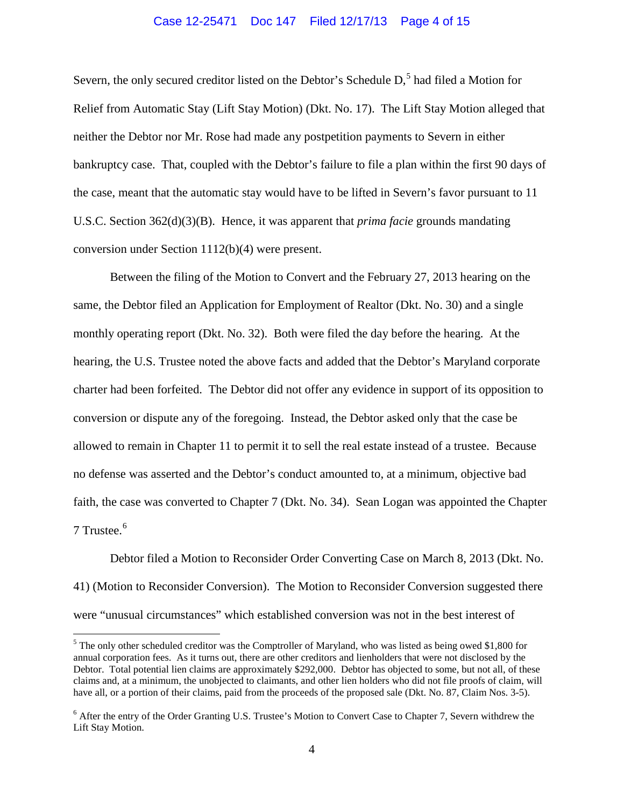#### Case 12-25471 Doc 147 Filed 12/17/13 Page 4 of 15

Severn, the only secured creditor listed on the Debtor's Schedule D,<sup>[5](#page-2-1)</sup> had filed a Motion for Relief from Automatic Stay (Lift Stay Motion) (Dkt. No. 17). The Lift Stay Motion alleged that neither the Debtor nor Mr. Rose had made any postpetition payments to Severn in either bankruptcy case. That, coupled with the Debtor's failure to file a plan within the first 90 days of the case, meant that the automatic stay would have to be lifted in Severn's favor pursuant to 11 U.S.C. Section 362(d)(3)(B). Hence, it was apparent that *prima facie* grounds mandating conversion under Section 1112(b)(4) were present.

Between the filing of the Motion to Convert and the February 27, 2013 hearing on the same, the Debtor filed an Application for Employment of Realtor (Dkt. No. 30) and a single monthly operating report (Dkt. No. 32). Both were filed the day before the hearing. At the hearing, the U.S. Trustee noted the above facts and added that the Debtor's Maryland corporate charter had been forfeited. The Debtor did not offer any evidence in support of its opposition to conversion or dispute any of the foregoing. Instead, the Debtor asked only that the case be allowed to remain in Chapter 11 to permit it to sell the real estate instead of a trustee. Because no defense was asserted and the Debtor's conduct amounted to, at a minimum, objective bad faith, the case was converted to Chapter 7 (Dkt. No. 34). Sean Logan was appointed the Chapter 7 Trustee.<sup>[6](#page-3-0)</sup>

Debtor filed a Motion to Reconsider Order Converting Case on March 8, 2013 (Dkt. No. 41) (Motion to Reconsider Conversion). The Motion to Reconsider Conversion suggested there were "unusual circumstances" which established conversion was not in the best interest of

<span id="page-3-1"></span><sup>&</sup>lt;sup>5</sup> The only other scheduled creditor was the Comptroller of Maryland, who was listed as being owed \$1,800 for annual corporation fees. As it turns out, there are other creditors and lienholders that were not disclosed by the Debtor. Total potential lien claims are approximately \$292,000. Debtor has objected to some, but not all, of these claims and, at a minimum, the unobjected to claimants, and other lien holders who did not file proofs of claim, will have all, or a portion of their claims, paid from the proceeds of the proposed sale (Dkt. No. 87, Claim Nos. 3-5).

<span id="page-3-0"></span><sup>&</sup>lt;sup>6</sup> After the entry of the Order Granting U.S. Trustee's Motion to Convert Case to Chapter 7, Severn withdrew the Lift Stay Motion.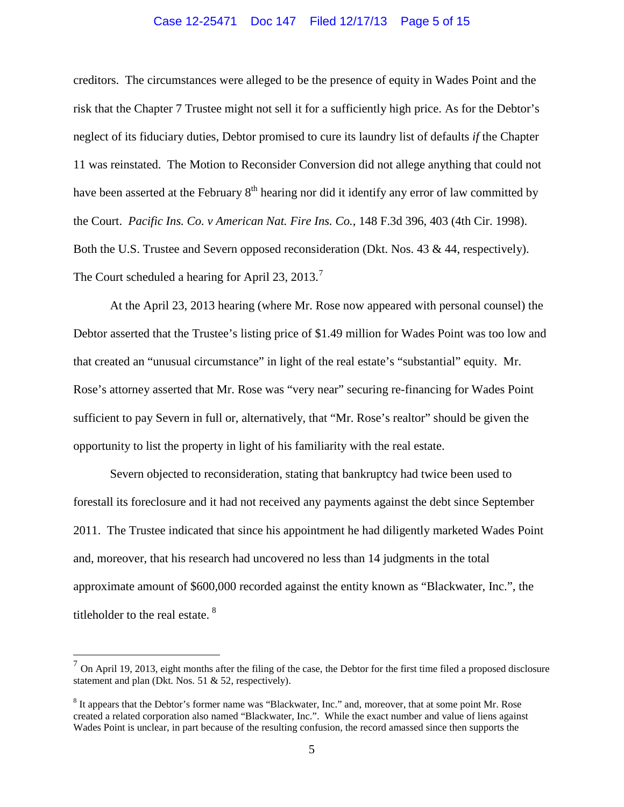#### Case 12-25471 Doc 147 Filed 12/17/13 Page 5 of 15

creditors. The circumstances were alleged to be the presence of equity in Wades Point and the risk that the Chapter 7 Trustee might not sell it for a sufficiently high price. As for the Debtor's neglect of its fiduciary duties, Debtor promised to cure its laundry list of defaults *if* the Chapter 11 was reinstated. The Motion to Reconsider Conversion did not allege anything that could not have been asserted at the February  $8<sup>th</sup>$  hearing nor did it identify any error of law committed by the Court. *Pacific Ins. Co. v American Nat. Fire Ins. Co.*, 148 F.3d 396, 403 (4th Cir. 1998). Both the U.S. Trustee and Severn opposed reconsideration (Dkt. Nos. 43 & 44, respectively). The Court scheduled a hearing for April 23, 2013.<sup>[7](#page-3-1)</sup>

At the April 23, 2013 hearing (where Mr. Rose now appeared with personal counsel) the Debtor asserted that the Trustee's listing price of \$1.49 million for Wades Point was too low and that created an "unusual circumstance" in light of the real estate's "substantial" equity. Mr. Rose's attorney asserted that Mr. Rose was "very near" securing re-financing for Wades Point sufficient to pay Severn in full or, alternatively, that "Mr. Rose's realtor" should be given the opportunity to list the property in light of his familiarity with the real estate.

Severn objected to reconsideration, stating that bankruptcy had twice been used to forestall its foreclosure and it had not received any payments against the debt since September 2011. The Trustee indicated that since his appointment he had diligently marketed Wades Point and, moreover, that his research had uncovered no less than 14 judgments in the total approximate amount of \$600,000 recorded against the entity known as "Blackwater, Inc.", the titleholder to the real estate. <sup>[8](#page-4-0)</sup>

<span id="page-4-1"></span> $<sup>7</sup>$  On April 19, 2013, eight months after the filing of the case, the Debtor for the first time filed a proposed disclosure</sup> statement and plan (Dkt. Nos. 51 & 52, respectively).

<span id="page-4-0"></span><sup>8</sup> It appears that the Debtor's former name was "Blackwater, Inc." and, moreover, that at some point Mr. Rose created a related corporation also named "Blackwater, Inc.". While the exact number and value of liens against Wades Point is unclear, in part because of the resulting confusion, the record amassed since then supports the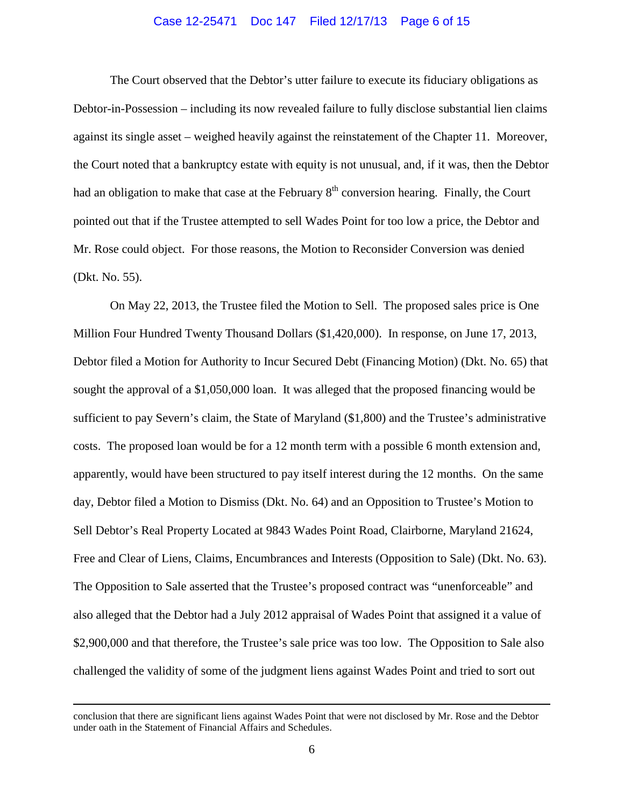#### Case 12-25471 Doc 147 Filed 12/17/13 Page 6 of 15

The Court observed that the Debtor's utter failure to execute its fiduciary obligations as Debtor-in-Possession – including its now revealed failure to fully disclose substantial lien claims against its single asset – weighed heavily against the reinstatement of the Chapter 11. Moreover, the Court noted that a bankruptcy estate with equity is not unusual, and, if it was, then the Debtor had an obligation to make that case at the February  $8<sup>th</sup>$  conversion hearing. Finally, the Court pointed out that if the Trustee attempted to sell Wades Point for too low a price, the Debtor and Mr. Rose could object. For those reasons, the Motion to Reconsider Conversion was denied (Dkt. No. 55).

On May 22, 2013, the Trustee filed the Motion to Sell. The proposed sales price is One Million Four Hundred Twenty Thousand Dollars (\$1,420,000). In response, on June 17, 2013, Debtor filed a Motion for Authority to Incur Secured Debt (Financing Motion) (Dkt. No. 65) that sought the approval of a \$1,050,000 loan. It was alleged that the proposed financing would be sufficient to pay Severn's claim, the State of Maryland (\$1,800) and the Trustee's administrative costs. The proposed loan would be for a 12 month term with a possible 6 month extension and, apparently, would have been structured to pay itself interest during the 12 months. On the same day, Debtor filed a Motion to Dismiss (Dkt. No. 64) and an Opposition to Trustee's Motion to Sell Debtor's Real Property Located at 9843 Wades Point Road, Clairborne, Maryland 21624, Free and Clear of Liens, Claims, Encumbrances and Interests (Opposition to Sale) (Dkt. No. 63). The Opposition to Sale asserted that the Trustee's proposed contract was "unenforceable" and also alleged that the Debtor had a July 2012 appraisal of Wades Point that assigned it a value of \$2,900,000 and that therefore, the Trustee's sale price was too low. The Opposition to Sale also challenged the validity of some of the judgment liens against Wades Point and tried to sort out

 $\overline{a}$ 

conclusion that there are significant liens against Wades Point that were not disclosed by Mr. Rose and the Debtor under oath in the Statement of Financial Affairs and Schedules.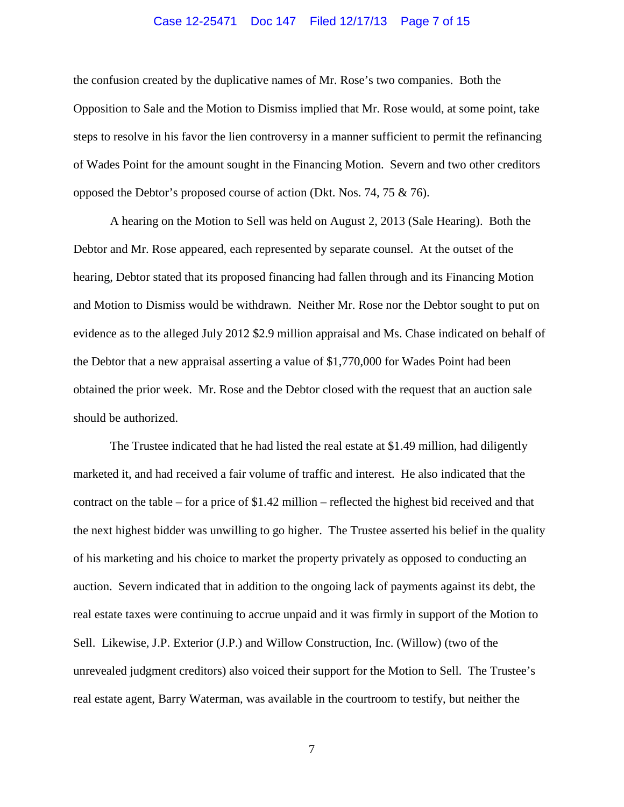#### Case 12-25471 Doc 147 Filed 12/17/13 Page 7 of 15

the confusion created by the duplicative names of Mr. Rose's two companies. Both the Opposition to Sale and the Motion to Dismiss implied that Mr. Rose would, at some point, take steps to resolve in his favor the lien controversy in a manner sufficient to permit the refinancing of Wades Point for the amount sought in the Financing Motion. Severn and two other creditors opposed the Debtor's proposed course of action (Dkt. Nos. 74, 75 & 76).

A hearing on the Motion to Sell was held on August 2, 2013 (Sale Hearing). Both the Debtor and Mr. Rose appeared, each represented by separate counsel. At the outset of the hearing, Debtor stated that its proposed financing had fallen through and its Financing Motion and Motion to Dismiss would be withdrawn. Neither Mr. Rose nor the Debtor sought to put on evidence as to the alleged July 2012 \$2.9 million appraisal and Ms. Chase indicated on behalf of the Debtor that a new appraisal asserting a value of \$1,770,000 for Wades Point had been obtained the prior week. Mr. Rose and the Debtor closed with the request that an auction sale should be authorized.

The Trustee indicated that he had listed the real estate at \$1.49 million, had diligently marketed it, and had received a fair volume of traffic and interest. He also indicated that the contract on the table – for a price of \$1.42 million – reflected the highest bid received and that the next highest bidder was unwilling to go higher. The Trustee asserted his belief in the quality of his marketing and his choice to market the property privately as opposed to conducting an auction. Severn indicated that in addition to the ongoing lack of payments against its debt, the real estate taxes were continuing to accrue unpaid and it was firmly in support of the Motion to Sell. Likewise, J.P. Exterior (J.P.) and Willow Construction, Inc. (Willow) (two of the unrevealed judgment creditors) also voiced their support for the Motion to Sell. The Trustee's real estate agent, Barry Waterman, was available in the courtroom to testify, but neither the

7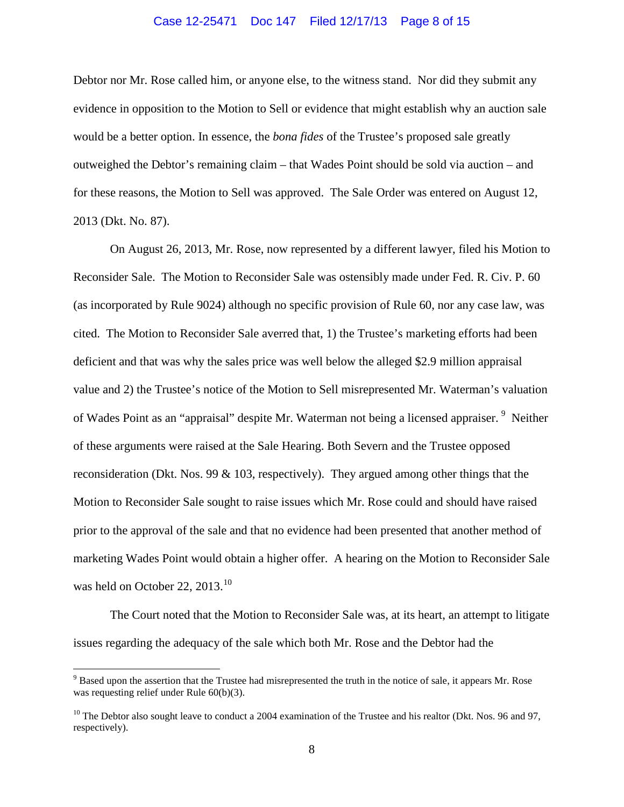## Case 12-25471 Doc 147 Filed 12/17/13 Page 8 of 15

Debtor nor Mr. Rose called him, or anyone else, to the witness stand. Nor did they submit any evidence in opposition to the Motion to Sell or evidence that might establish why an auction sale would be a better option. In essence, the *bona fides* of the Trustee's proposed sale greatly outweighed the Debtor's remaining claim – that Wades Point should be sold via auction – and for these reasons, the Motion to Sell was approved. The Sale Order was entered on August 12, 2013 (Dkt. No. 87).

On August 26, 2013, Mr. Rose, now represented by a different lawyer, filed his Motion to Reconsider Sale. The Motion to Reconsider Sale was ostensibly made under Fed. R. Civ. P. 60 (as incorporated by Rule 9024) although no specific provision of Rule 60, nor any case law, was cited. The Motion to Reconsider Sale averred that, 1) the Trustee's marketing efforts had been deficient and that was why the sales price was well below the alleged \$2.9 million appraisal value and 2) the Trustee's notice of the Motion to Sell misrepresented Mr. Waterman's valuation of Wades Point as an "appraisal" despite Mr. Waterman not being a licensed appraiser. <sup>[9](#page-4-1)</sup> Neither of these arguments were raised at the Sale Hearing. Both Severn and the Trustee opposed reconsideration (Dkt. Nos. 99 & 103, respectively). They argued among other things that the Motion to Reconsider Sale sought to raise issues which Mr. Rose could and should have raised prior to the approval of the sale and that no evidence had been presented that another method of marketing Wades Point would obtain a higher offer. A hearing on the Motion to Reconsider Sale was held on October 22, 2013.<sup>[10](#page-7-0)</sup>

The Court noted that the Motion to Reconsider Sale was, at its heart, an attempt to litigate issues regarding the adequacy of the sale which both Mr. Rose and the Debtor had the

<span id="page-7-1"></span><sup>&</sup>lt;sup>9</sup> Based upon the assertion that the Trustee had misrepresented the truth in the notice of sale, it appears Mr. Rose was requesting relief under Rule 60(b)(3).

<span id="page-7-0"></span><sup>&</sup>lt;sup>10</sup> The Debtor also sought leave to conduct a 2004 examination of the Trustee and his realtor (Dkt. Nos. 96 and 97, respectively).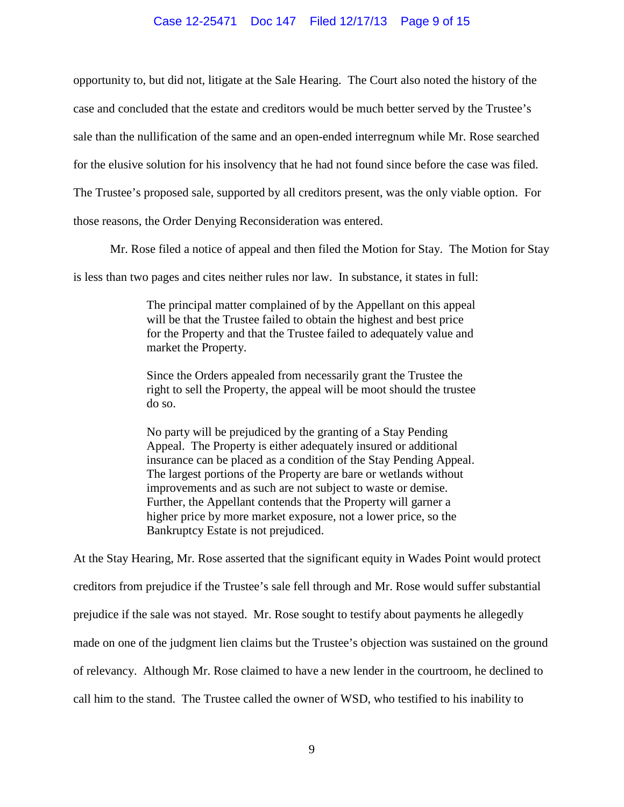### Case 12-25471 Doc 147 Filed 12/17/13 Page 9 of 15

opportunity to, but did not, litigate at the Sale Hearing. The Court also noted the history of the case and concluded that the estate and creditors would be much better served by the Trustee's sale than the nullification of the same and an open-ended interregnum while Mr. Rose searched for the elusive solution for his insolvency that he had not found since before the case was filed. The Trustee's proposed sale, supported by all creditors present, was the only viable option. For those reasons, the Order Denying Reconsideration was entered.

Mr. Rose filed a notice of appeal and then filed the Motion for Stay. The Motion for Stay

is less than two pages and cites neither rules nor law. In substance, it states in full:

The principal matter complained of by the Appellant on this appeal will be that the Trustee failed to obtain the highest and best price for the Property and that the Trustee failed to adequately value and market the Property.

Since the Orders appealed from necessarily grant the Trustee the right to sell the Property, the appeal will be moot should the trustee do so.

No party will be prejudiced by the granting of a Stay Pending Appeal. The Property is either adequately insured or additional insurance can be placed as a condition of the Stay Pending Appeal. The largest portions of the Property are bare or wetlands without improvements and as such are not subject to waste or demise. Further, the Appellant contends that the Property will garner a higher price by more market exposure, not a lower price, so the Bankruptcy Estate is not prejudiced.

At the Stay Hearing, Mr. Rose asserted that the significant equity in Wades Point would protect creditors from prejudice if the Trustee's sale fell through and Mr. Rose would suffer substantial prejudice if the sale was not stayed. Mr. Rose sought to testify about payments he allegedly made on one of the judgment lien claims but the Trustee's objection was sustained on the ground of relevancy. Although Mr. Rose claimed to have a new lender in the courtroom, he declined to call him to the stand. The Trustee called the owner of WSD, who testified to his inability to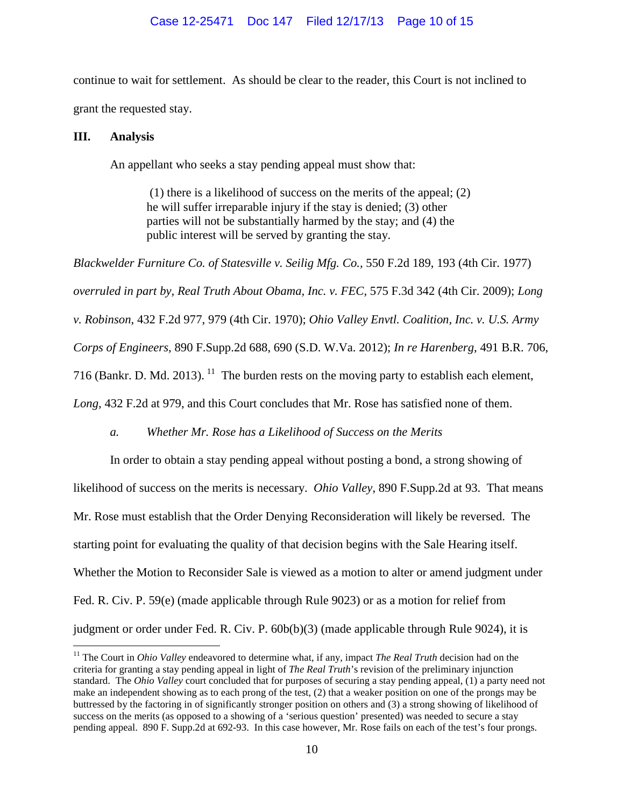continue to wait for settlement. As should be clear to the reader, this Court is not inclined to grant the requested stay.

## **III. Analysis**

An appellant who seeks a stay pending appeal must show that:

(1) there is a likelihood of success on the merits of the appeal; (2) he will suffer irreparable injury if the stay is denied; (3) other parties will not be substantially harmed by the stay; and (4) the public interest will be served by granting the stay.

*Blackwelder Furniture Co. of Statesville v. Seilig Mfg. Co.,* 550 F.2d 189, 193 (4th Cir. 1977) *overruled in part by, Real Truth About Obama, Inc. v. FEC,* 575 F.3d 342 (4th Cir. 2009); *Long v. Robinson*, 432 F.2d 977, 979 (4th Cir. 1970); *Ohio Valley Envtl. Coalition, Inc. v. U.S. Army Corps of Engineers,* 890 F.Supp.2d 688, 690 (S.D. W.Va. 2012); *In re Harenberg*, 491 B.R. 706, 716 (Bankr. D. Md. 2013).  $^{11}$  $^{11}$  $^{11}$  The burden rests on the moving party to establish each element, *Long,* 432 F.2d at 979, and this Court concludes that Mr. Rose has satisfied none of them.

*a. Whether Mr. Rose has a Likelihood of Success on the Merits*

<span id="page-9-0"></span>In order to obtain a stay pending appeal without posting a bond, a strong showing of likelihood of success on the merits is necessary. *Ohio Valley*, 890 F.Supp.2d at 93. That means Mr. Rose must establish that the Order Denying Reconsideration will likely be reversed. The starting point for evaluating the quality of that decision begins with the Sale Hearing itself. Whether the Motion to Reconsider Sale is viewed as a motion to alter or amend judgment under Fed. R. Civ. P. 59(e) (made applicable through Rule 9023) or as a motion for relief from judgment or order under Fed. R. Civ. P. 60b(b)(3) (made applicable through Rule 9024), it is

<span id="page-9-1"></span><sup>&</sup>lt;sup>11</sup> The Court in *Ohio Valley* endeavored to determine what, if any, impact *The Real Truth* decision had on the criteria for granting a stay pending appeal in light of *The Real Truth*'s revision of the preliminary injunction standard. The *Ohio Valley* court concluded that for purposes of securing a stay pending appeal, (1) a party need not make an independent showing as to each prong of the test, (2) that a weaker position on one of the prongs may be buttressed by the factoring in of significantly stronger position on others and (3) a strong showing of likelihood of success on the merits (as opposed to a showing of a 'serious question' presented) was needed to secure a stay pending appeal. 890 F. Supp.2d at 692-93. In this case however, Mr. Rose fails on each of the test's four prongs.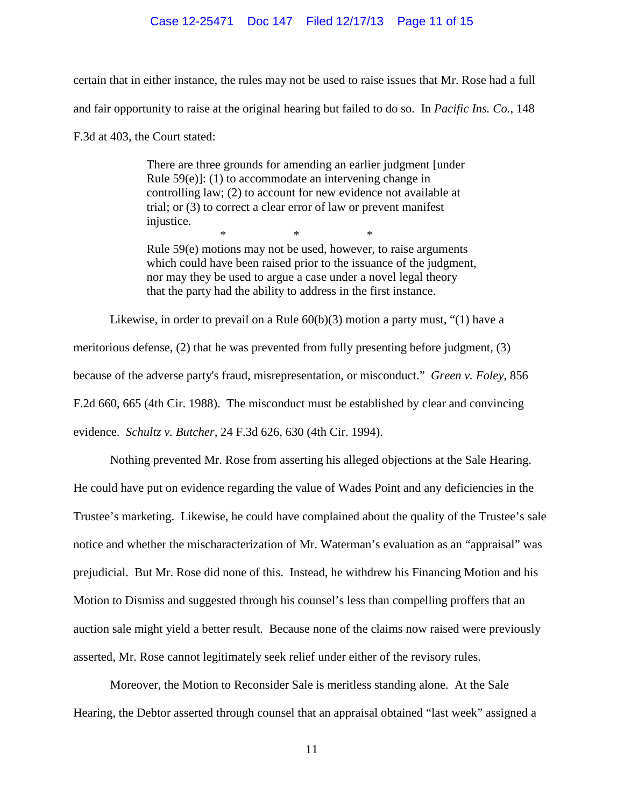#### Case 12-25471 Doc 147 Filed 12/17/13 Page 11 of 15

certain that in either instance, the rules may not be used to raise issues that Mr. Rose had a full and fair opportunity to raise at the original hearing but failed to do so. In *Pacific Ins. Co.*, 148 F.3d at 403, the Court stated:

> There are three grounds for amending an earlier judgment [under Rule 59(e)]: (1) to accommodate an intervening change in controlling law; (2) to account for new evidence not available at trial; or (3) to correct a clear error of law or prevent manifest injustice. \* \* \*

Rule 59(e) motions may not be used, however, to raise arguments which could have been raised prior to the issuance of the judgment, nor may they be used to argue a case under a novel legal theory that the party had the ability to address in the first instance.

Likewise, in order to prevail on a Rule 60(b)(3) motion a party must, "(1) have a meritorious defense, (2) that he was prevented from fully presenting before judgment, (3) because of the adverse party's fraud, misrepresentation, or misconduct." *Green v. Foley*, 856 F.2d 660, 665 (4th Cir. 1988). The misconduct must be established by clear and convincing evidence. *Schultz v. Butcher*, 24 F.3d 626, 630 (4th Cir. 1994).

Nothing prevented Mr. Rose from asserting his alleged objections at the Sale Hearing. He could have put on evidence regarding the value of Wades Point and any deficiencies in the Trustee's marketing. Likewise, he could have complained about the quality of the Trustee's sale notice and whether the mischaracterization of Mr. Waterman's evaluation as an "appraisal" was prejudicial. But Mr. Rose did none of this. Instead, he withdrew his Financing Motion and his Motion to Dismiss and suggested through his counsel's less than compelling proffers that an auction sale might yield a better result. Because none of the claims now raised were previously asserted, Mr. Rose cannot legitimately seek relief under either of the revisory rules.

Moreover, the Motion to Reconsider Sale is meritless standing alone. At the Sale Hearing, the Debtor asserted through counsel that an appraisal obtained "last week" assigned a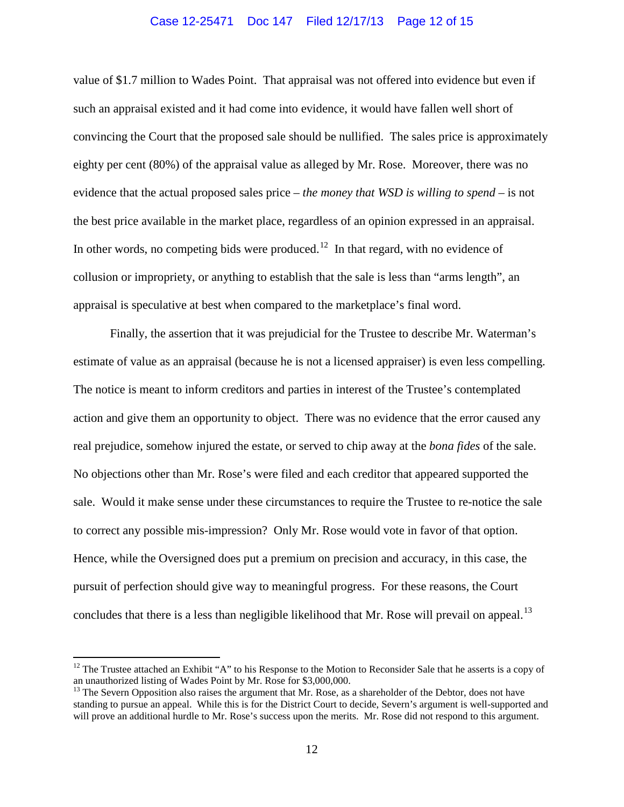#### Case 12-25471 Doc 147 Filed 12/17/13 Page 12 of 15

value of \$1.7 million to Wades Point. That appraisal was not offered into evidence but even if such an appraisal existed and it had come into evidence, it would have fallen well short of convincing the Court that the proposed sale should be nullified. The sales price is approximately eighty per cent (80%) of the appraisal value as alleged by Mr. Rose. Moreover, there was no evidence that the actual proposed sales price – *the money that WSD is willing to spend* – is not the best price available in the market place, regardless of an opinion expressed in an appraisal. In other words, no competing bids were produced.<sup>[12](#page-9-1)</sup> In that regard, with no evidence of collusion or impropriety, or anything to establish that the sale is less than "arms length", an appraisal is speculative at best when compared to the marketplace's final word.

Finally, the assertion that it was prejudicial for the Trustee to describe Mr. Waterman's estimate of value as an appraisal (because he is not a licensed appraiser) is even less compelling. The notice is meant to inform creditors and parties in interest of the Trustee's contemplated action and give them an opportunity to object. There was no evidence that the error caused any real prejudice, somehow injured the estate, or served to chip away at the *bona fides* of the sale. No objections other than Mr. Rose's were filed and each creditor that appeared supported the sale. Would it make sense under these circumstances to require the Trustee to re-notice the sale to correct any possible mis-impression? Only Mr. Rose would vote in favor of that option. Hence, while the Oversigned does put a premium on precision and accuracy, in this case, the pursuit of perfection should give way to meaningful progress. For these reasons, the Court concludes that there is a less than negligible likelihood that Mr. Rose will prevail on appeal.<sup>[13](#page-11-0)</sup>

<span id="page-11-1"></span><sup>&</sup>lt;sup>12</sup> The Trustee attached an Exhibit "A" to his Response to the Motion to Reconsider Sale that he asserts is a copy of an unauthorized listing of Wades Point by Mr. Rose for \$3,000,000.

<span id="page-11-0"></span><sup>&</sup>lt;sup>13</sup> The Severn Opposition also raises the argument that Mr. Rose, as a shareholder of the Debtor, does not have standing to pursue an appeal. While this is for the District Court to decide, Severn's argument is well-supported and will prove an additional hurdle to Mr. Rose's success upon the merits. Mr. Rose did not respond to this argument.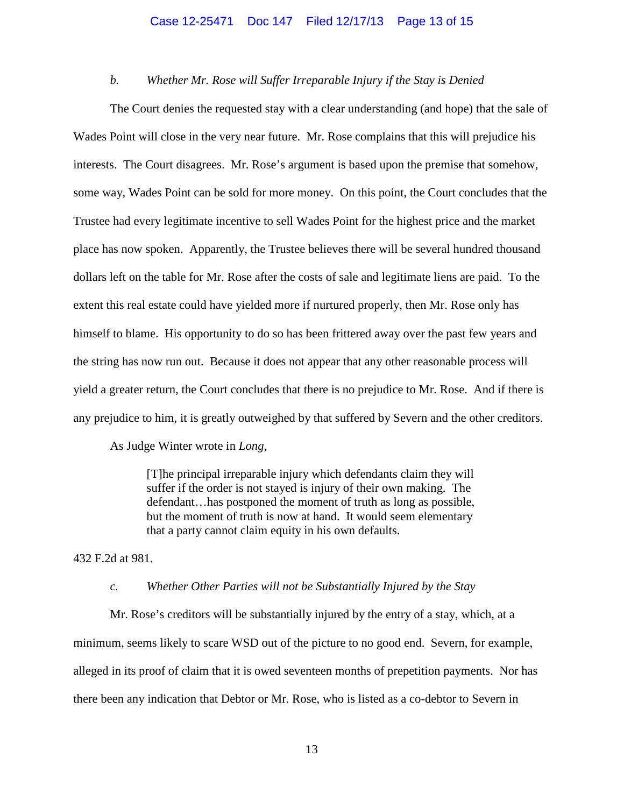#### Case 12-25471 Doc 147 Filed 12/17/13 Page 13 of 15

## *b. Whether Mr. Rose will Suffer Irreparable Injury if the Stay is Denied*

The Court denies the requested stay with a clear understanding (and hope) that the sale of Wades Point will close in the very near future. Mr. Rose complains that this will prejudice his interests. The Court disagrees. Mr. Rose's argument is based upon the premise that somehow, some way, Wades Point can be sold for more money. On this point, the Court concludes that the Trustee had every legitimate incentive to sell Wades Point for the highest price and the market place has now spoken. Apparently, the Trustee believes there will be several hundred thousand dollars left on the table for Mr. Rose after the costs of sale and legitimate liens are paid. To the extent this real estate could have yielded more if nurtured properly, then Mr. Rose only has himself to blame. His opportunity to do so has been frittered away over the past few years and the string has now run out. Because it does not appear that any other reasonable process will yield a greater return, the Court concludes that there is no prejudice to Mr. Rose. And if there is any prejudice to him, it is greatly outweighed by that suffered by Severn and the other creditors.

As Judge Winter wrote in *Long*,

[T]he principal irreparable injury which defendants claim they will suffer if the order is not stayed is injury of their own making. The defendant…has postponed the moment of truth as long as possible, but the moment of truth is now at hand. It would seem elementary that a party cannot claim equity in his own defaults.

432 F.2d at 981.

#### *c. Whether Other Parties will not be Substantially Injured by the Stay*

Mr. Rose's creditors will be substantially injured by the entry of a stay, which, at a minimum, seems likely to scare WSD out of the picture to no good end. Severn, for example, alleged in its proof of claim that it is owed seventeen months of prepetition payments. Nor has there been any indication that Debtor or Mr. Rose, who is listed as a co-debtor to Severn in

13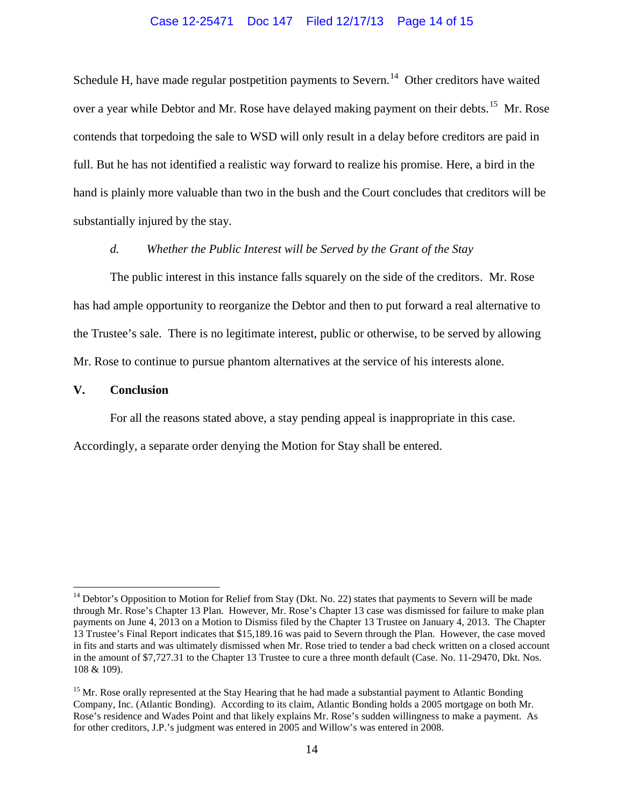### Case 12-25471 Doc 147 Filed 12/17/13 Page 14 of 15

Schedule H, have made regular postpetition payments to Severn.<sup>[14](#page-11-1)</sup> Other creditors have waited over a year while Debtor and Mr. Rose have delayed making payment on their debts.<sup>15</sup> Mr. Rose contends that torpedoing the sale to WSD will only result in a delay before creditors are paid in full. But he has not identified a realistic way forward to realize his promise. Here, a bird in the hand is plainly more valuable than two in the bush and the Court concludes that creditors will be substantially injured by the stay.

## *d. Whether the Public Interest will be Served by the Grant of the Stay*

The public interest in this instance falls squarely on the side of the creditors. Mr. Rose has had ample opportunity to reorganize the Debtor and then to put forward a real alternative to the Trustee's sale. There is no legitimate interest, public or otherwise, to be served by allowing Mr. Rose to continue to pursue phantom alternatives at the service of his interests alone.

## **V. Conclusion**

For all the reasons stated above, a stay pending appeal is inappropriate in this case.

Accordingly, a separate order denying the Motion for Stay shall be entered.

<sup>&</sup>lt;sup>14</sup> Debtor's Opposition to Motion for Relief from Stay (Dkt. No. 22) states that payments to Severn will be made through Mr. Rose's Chapter 13 Plan. However, Mr. Rose's Chapter 13 case was dismissed for failure to make plan payments on June 4, 2013 on a Motion to Dismiss filed by the Chapter 13 Trustee on January 4, 2013. The Chapter 13 Trustee's Final Report indicates that \$15,189.16 was paid to Severn through the Plan. However, the case moved in fits and starts and was ultimately dismissed when Mr. Rose tried to tender a bad check written on a closed account in the amount of \$7,727.31 to the Chapter 13 Trustee to cure a three month default (Case. No. 11-29470, Dkt. Nos. 108 & 109).

<span id="page-13-0"></span><sup>&</sup>lt;sup>15</sup> Mr. Rose orally represented at the Stay Hearing that he had made a substantial payment to Atlantic Bonding Company, Inc. (Atlantic Bonding). According to its claim, Atlantic Bonding holds a 2005 mortgage on both Mr. Rose's residence and Wades Point and that likely explains Mr. Rose's sudden willingness to make a payment. As for other creditors, J.P.'s judgment was entered in 2005 and Willow's was entered in 2008.